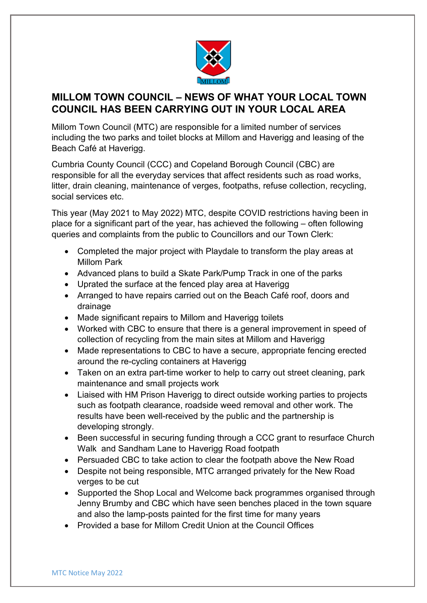

## **MILLOM TOWN COUNCIL – NEWS OF WHAT YOUR LOCAL TOWN COUNCIL HAS BEEN CARRYING OUT IN YOUR LOCAL AREA**

Millom Town Council (MTC) are responsible for a limited number of services including the two parks and toilet blocks at Millom and Haverigg and leasing of the Beach Café at Haverigg.

Cumbria County Council (CCC) and Copeland Borough Council (CBC) are responsible for all the everyday services that affect residents such as road works, litter, drain cleaning, maintenance of verges, footpaths, refuse collection, recycling, social services etc.

This year (May 2021 to May 2022) MTC, despite COVID restrictions having been in place for a significant part of the year, has achieved the following – often following queries and complaints from the public to Councillors and our Town Clerk:

- Completed the major project with Playdale to transform the play areas at Millom Park
- Advanced plans to build a Skate Park/Pump Track in one of the parks
- Uprated the surface at the fenced play area at Haverigg
- Arranged to have repairs carried out on the Beach Café roof, doors and drainage
- Made significant repairs to Millom and Haverigg toilets
- Worked with CBC to ensure that there is a general improvement in speed of collection of recycling from the main sites at Millom and Haverigg
- Made representations to CBC to have a secure, appropriate fencing erected around the re-cycling containers at Haverigg
- Taken on an extra part-time worker to help to carry out street cleaning, park maintenance and small projects work
- Liaised with HM Prison Haverigg to direct outside working parties to projects such as footpath clearance, roadside weed removal and other work. The results have been well-received by the public and the partnership is developing strongly.
- Been successful in securing funding through a CCC grant to resurface Church Walk and Sandham Lane to Haverigg Road footpath
- Persuaded CBC to take action to clear the footpath above the New Road
- Despite not being responsible, MTC arranged privately for the New Road verges to be cut
- Supported the Shop Local and Welcome back programmes organised through Jenny Brumby and CBC which have seen benches placed in the town square and also the lamp-posts painted for the first time for many years
- Provided a base for Millom Credit Union at the Council Offices